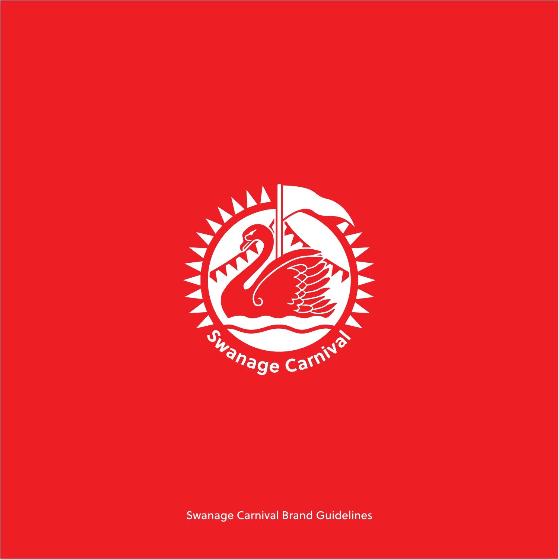

Swanage Carnival Brand Guidelines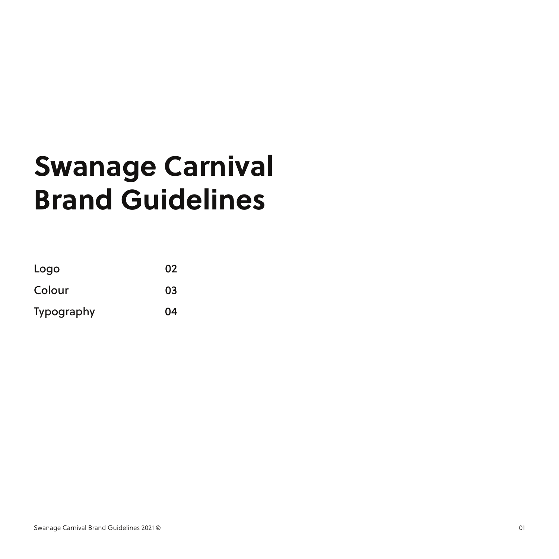### **Swanage Carnival Brand Guidelines**

| Logo       | 02 |
|------------|----|
| Colour     | 03 |
| Typography | 04 |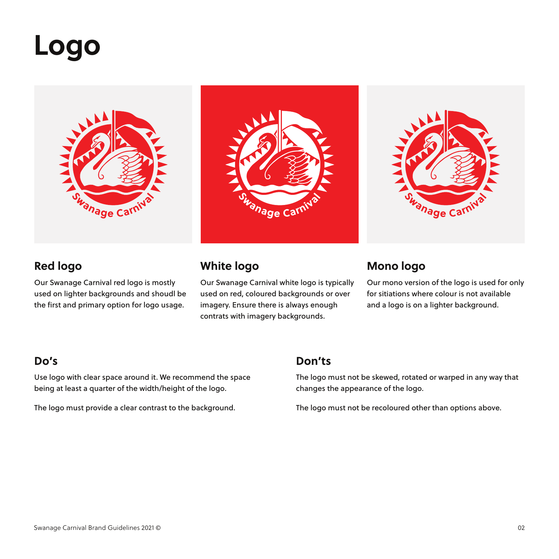### **Logo**







### **Red logo**

Our Swanage Carnival red logo is mostly used on lighter backgrounds and shoudl be the first and primary option for logo usage.

Our Swanage Carnival white logo is typically used on red, coloured backgrounds or over imagery. Ensure there is always enough contrats with imagery backgrounds.

#### **White logo Mono logo**

Our mono version of the logo is used for only for sitiations where colour is not available and a logo is on a lighter background.

Use logo with clear space around it. We recommend the space being at least a quarter of the width/height of the logo.

The logo must provide a clear contrast to the background.

#### **Do's Don'ts**

The logo must not be skewed, rotated or warped in any way that changes the appearance of the logo.

The logo must not be recoloured other than options above.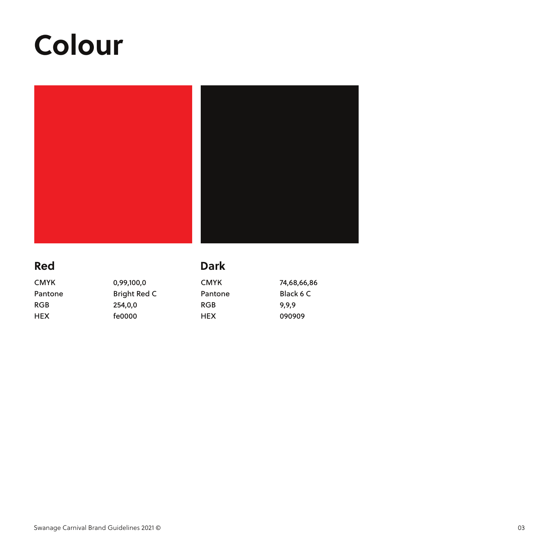## **Colour**



### **Red Dark**

CMYK Pantone RGB HEX CMYK Pantone RGB HEX 0,99,100,0 Bright Red C 254,0,0 fe0000 74,68,66,86 Black 6 C 9,9,9 090909